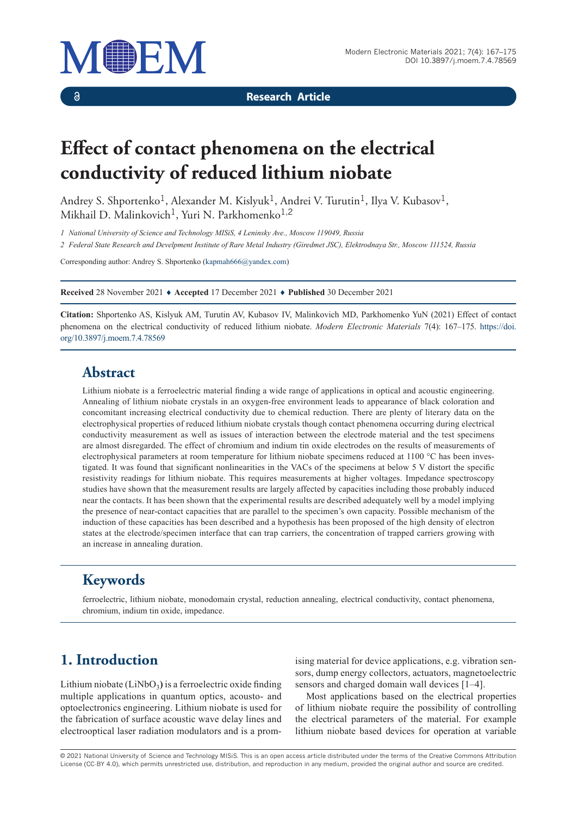

 $\delta$ 

**Research Article**

# **Effect of contact phenomena on the electrical conductivity of reduced lithium niobate**

Andrey S. Shportenko<sup>1</sup>, Alexander M. Kislyuk<sup>1</sup>, Andrei V. Turutin<sup>1</sup>, Ilya V. Kubasov<sup>1</sup>, Mikhail D. Malinkovich<sup>1</sup>, Yuri N. Parkhomenko<sup>1,2</sup>

*1 National University of Science and Technology MISiS, 4 Leninsky Ave., Moscow 119049, Russia*

*2 Federal State Research and Develpment Institute of Rare Metal Industry (Giredmet JSC), Elektrodnaya Str., Moscow 111524, Russia*

Corresponding author: Andrey S. Shportenko (kapmah666@yandex.com)

**Received** 28 November 2021 ♦ **Accepted** 17 December 2021 ♦ **Published** 30 December 2021

**Citation:** Shportenko AS, Kislyuk AM, Turutin AV, Kubasov IV, Malinkovich MD, Parkhomenko YuN (2021) Effect of contact phenomena on the electrical conductivity of reduced lithium niobate. *Modern Electronic Materials* 7(4): 167–175. https://doi. org/10.3897/j.moem.7.4.78569

### **Abstract**

Lithium niobate is a ferroelectric material finding a wide range of applications in optical and acoustic engineering. Annealing of lithium niobate crystals in an oxygen-free environment leads to appearance of black coloration and concomitant increasing electrical conductivity due to chemical reduction. There are plenty of literary data on the electrophysical properties of reduced lithium niobate crystals though contact phenomena occurring during electrical conductivity measurement as well as issues of interaction between the electrode material and the test specimens are almost disregarded. The effect of chromium and indium tin oxide electrodes on the results of measurements of electrophysical parameters at room temperature for lithium niobate specimens reduced at 1100 °C has been investigated. It was found that significant nonlinearities in the VACs of the specimens at below 5 V distort the specific resistivity readings for lithium niobate. This requires measurements at higher voltages. Impedance spectroscopy studies have shown that the measurement results are largely affected by capacities including those probably induced near the contacts. It has been shown that the experimental results are described adequately well by a model implying the presence of near-contact capacities that are parallel to the specimen's own capacity. Possible mechanism of the induction of these capacities has been described and a hypothesis has been proposed of the high density of electron states at the electrode/specimen interface that can trap carriers, the concentration of trapped carriers growing with an increase in annealing duration.

# **Keywords**

ferroelectric, lithium niobate, monodomain crystal, reduction annealing, electrical conductivity, contact phenomena, chromium, indium tin oxide, impedance.

# **1. Introduction**

Lithium niobate (LiNbO<sub>3</sub>) is a ferroelectric oxide finding multiple applications in quantum optics, acousto- and optoelectronics engineering. Lithium niobate is used for the fabrication of surface acoustic wave delay lines and electrooptical laser radiation modulators and is a prom-

ising material for device applications, e.g. vibration sensors, dump energy collectors, actuators, magnetoelectric sensors and charged domain wall devices [1–4].

Most applications based on the electrical properties of lithium niobate require the possibility of controlling the electrical parameters of the material. For example lithium niobate based devices for operation at variable

© 2021 National University of Science and Technology MISiS*.* This is an open access article distributed under the terms of the Creative Commons Attribution License (CC-BY 4.0), which permits unrestricted use, distribution, and reproduction in any medium, provided the original author and source are credited.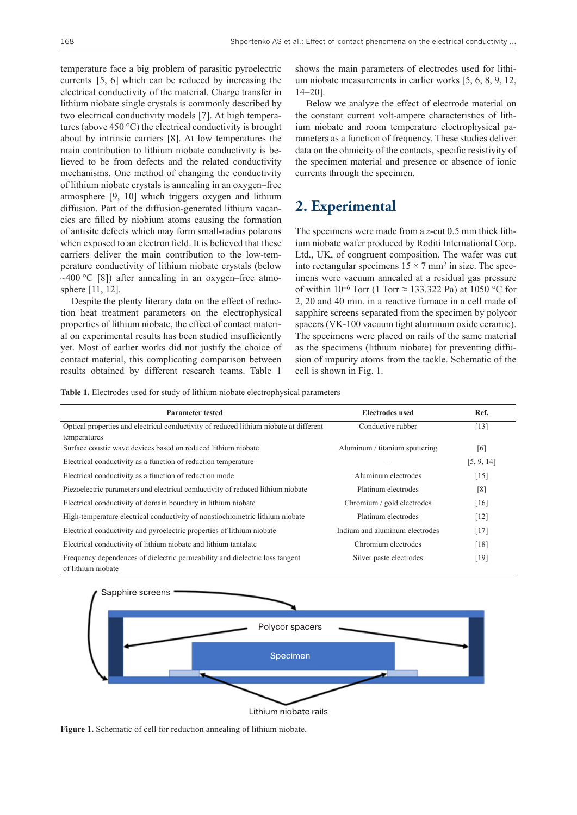temperature face a big problem of parasitic pyroelectric currents [5, 6] which can be reduced by increasing the electrical conductivity of the material. Charge transfer in lithium niobate single crystals is commonly described by two electrical conductivity models [7]. At high temperatures (above 450 °С) the electrical conductivity is brought about by intrinsic carriers [8]. At low temperatures the main contribution to lithium niobate conductivity is believed to be from defects and the related conductivity mechanisms. One method of changing the conductivity of lithium niobate crystals is annealing in an oxygen–free atmosphere [9, 10] which triggers oxygen and lithium diffusion. Part of the diffusion-generated lithium vacancies are filled by niobium atoms causing the formation of antisite defects which may form small-radius polarons when exposed to an electron field. It is believed that these carriers deliver the main contribution to the low-temperature conductivity of lithium niobate crystals (below ~400 °С [8]) after annealing in an oxygen–free atmosphere [11, 12].

Despite the plenty literary data on the effect of reduction heat treatment parameters on the electrophysical properties of lithium niobate, the effect of contact material on experimental results has been studied insufficiently yet. Most of earlier works did not justify the choice of contact material, this complicating comparison between results obtained by different research teams. Table 1

shows the main parameters of electrodes used for lithium niobate measurements in earlier works [5, 6, 8, 9, 12, 14–20].

Below we analyze the effect of electrode material on the constant current volt-ampere characteristics of lithium niobate and room temperature electrophysical parameters as a function of frequency. These studies deliver data on the ohmicity of the contacts, specific resistivity of the specimen material and presence or absence of ionic currents through the specimen.

## **2. Experimental**

The specimens were made from a *z*-cut 0.5 mm thick lithium niobate wafer produced by Roditi International Corp. Ltd., UK, of congruent composition. The wafer was cut into rectangular specimens  $15 \times 7$  mm<sup>2</sup> in size. The specimens were vacuum annealed at a residual gas pressure of within  $10^{-6}$  Torr (1 Torr  $\approx$  133.322 Pa) at 1050 °C for 2, 20 and 40 min. in a reactive furnace in a cell made of sapphire screens separated from the specimen by polycor spacers (VK-100 vacuum tight aluminum oxide ceramic). The specimens were placed on rails of the same material as the specimens (lithium niobate) for preventing diffusion of impurity atoms from the tackle. Schematic of the cell is shown in Fig. 1.

**Table 1.** Electrodes used for study of lithium niobate electrophysical parameters

| Parameter tested                                                                                       | <b>Electrodes</b> used         | Ref.       |
|--------------------------------------------------------------------------------------------------------|--------------------------------|------------|
| Optical properties and electrical conductivity of reduced lithium niobate at different<br>temperatures | Conductive rubber              | $[13]$     |
| Surface coustic wave devices based on reduced lithium niobate                                          | Aluminum / titanium sputtering | [6]        |
| Electrical conductivity as a function of reduction temperature                                         |                                | [5, 9, 14] |
| Electrical conductivity as a function of reduction mode                                                | Aluminum electrodes            | $[15]$     |
| Piezoelectric parameters and electrical conductivity of reduced lithium niobate                        | Platinum electrodes            | [8]        |
| Electrical conductivity of domain boundary in lithium niobate                                          | Chromium / gold electrodes     | [16]       |
| High-temperature electrical conductivity of nonstiochiometric lithium niobate                          | Platinum electrodes            | $[12]$     |
| Electrical conductivity and pyroelectric properties of lithium niobate                                 | Indium and aluminum electrodes | $[17]$     |
| Electrical conductivity of lithium niobate and lithium tantalate                                       | Chromium electrodes            | [18]       |
| Frequency dependences of dielectric permeability and dielectric loss tangent<br>of lithium niobate     | Silver paste electrodes        | [19]       |



Lithium niobate rails

**Figure 1.** Schematic of cell for reduction annealing of lithium niobate.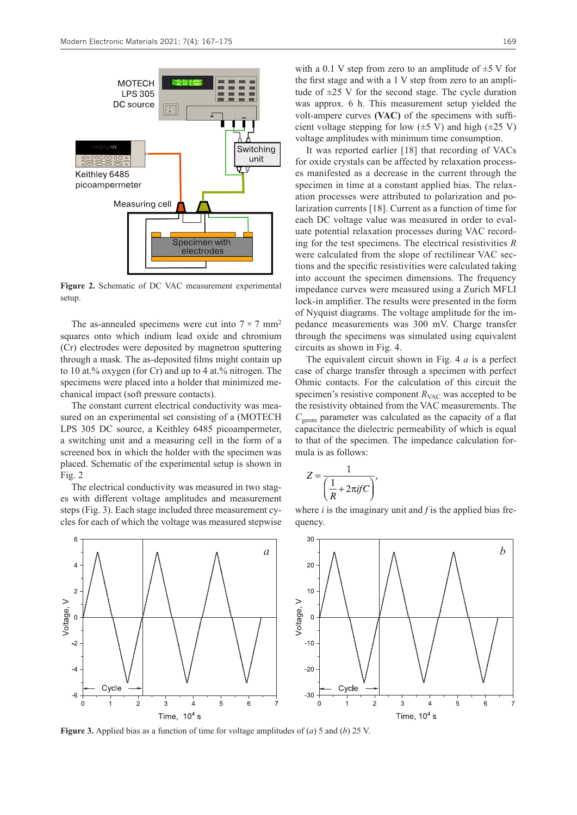

**Figure 2.** Schematic of DC VAC measurement experimental setup.

The as-annealed specimens were cut into  $7 \times 7$  mm<sup>2</sup> squares onto which indium lead oxide and chromium (Cr) electrodes were deposited by magnetron sputtering through a mask. The as-deposited films might contain up to 10 at.% oxygen (for Cr) and up to 4 at.% nitrogen. The specimens were placed into a holder that minimized mechanical impact (soft pressure contacts).

The constant current electrical conductivity was measured on an experimental set consisting of a (MOTECH LPS 305 DC source, a Keithley 6485 picoampermeter, a switching unit and a measuring cell in the form of a screened box in which the holder with the specimen was placed. Schematic of the experimental setup is shown in Fig. 2

The electrical conductivity was measured in two stages with different voltage amplitudes and measurement steps (Fig. 3). Each stage included three measurement cycles for each of which the voltage was measured stepwise with a 0.1 V step from zero to an amplitude of  $\pm$ 5 V for the first stage and with a 1 V step from zero to an amplitude of  $\pm 25$  V for the second stage. The cycle duration was approx. 6 h. This measurement setup yielded the volt-ampere curves **(VAC)** of the specimens with sufficient voltage stepping for low  $(\pm 5 \text{ V})$  and high  $(\pm 25 \text{ V})$ voltage amplitudes with minimum time consumption.

It was reported earlier [18] that recording of VACs for oxide crystals can be affected by relaxation processes manifested as a decrease in the current through the specimen in time at a constant applied bias. The relaxation processes were attributed to polarization and polarization currents [18]. Current as a function of time for each DC voltage value was measured in order to evaluate potential relaxation processes during VAC recording for the test specimens. The electrical resistivities *R* were calculated from the slope of rectilinear VAC sections and the specific resistivities were calculated taking into account the specimen dimensions. The frequency impedance curves were measured using a Zurich MFLI lock-in amplifier. The results were presented in the form of Nyquist diagrams. The voltage amplitude for the impedance measurements was 300 mV. Charge transfer through the specimens was simulated using equivalent circuits as shown in Fig. 4.

The equivalent circuit shown in Fig. 4 *a* is a perfect case of charge transfer through a specimen with perfect Ohmic contacts. For the calculation of this circuit the specimen's resistive component  $R_{\text{VAC}}$  was accepted to be the resistivity obtained from the VAC measurements. The *C*geom parameter was calculated as the capacity of a flat capacitance the dielectric permeability of which is equal to that of the specimen. The impedance calculation formula is as follows:

$$
Z = \frac{1}{\left(\frac{1}{R} + 2\pi i f C\right)},
$$

where *i* is the imaginary unit and *f* is the applied bias frequency.



**Figure 3.** Applied bias as a function of time for voltage amplitudes of (*a*) 5 and (*b*) 25 V.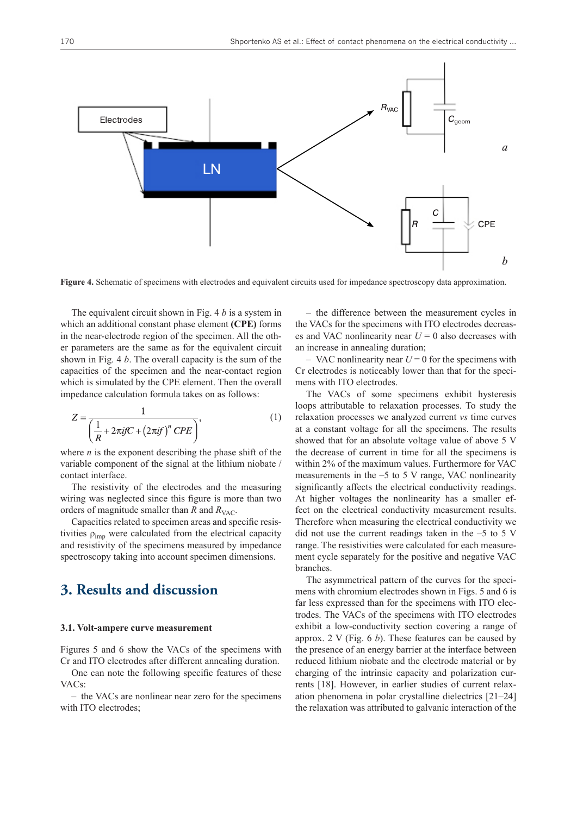

**Figure 4.** Schematic of specimens with electrodes and equivalent circuits used for impedance spectroscopy data approximation.

The equivalent circuit shown in Fig. 4 *b* is a system in which an additional constant phase element **(CPE)** forms in the near-electrode region of the specimen. All the other parameters are the same as for the equivalent circuit shown in Fig. 4 *b*. The overall capacity is the sum of the capacities of the specimen and the near-contact region which is simulated by the CPE element. Then the overall impedance calculation formula takes on as follows:

$$
Z = \frac{1}{\left(\frac{1}{R} + 2\pi i f C + \left(2\pi i f\right)^n CPE\right)},\tag{1}
$$

where  $n$  is the exponent describing the phase shift of the variable component of the signal at the lithium niobate / contact interface.

The resistivity of the electrodes and the measuring wiring was neglected since this figure is more than two orders of magnitude smaller than  $R$  and  $R_{VAC}$ .

Capacities related to specimen areas and specific resistivities  $\rho_{\text{imp}}$  were calculated from the electrical capacity and resistivity of the specimens measured by impedance spectroscopy taking into account specimen dimensions.

### **3. Results and discussion**

#### **3.1. Volt-ampere curve measurement**

Figures 5 and 6 show the VACs of the specimens with Cr and ITO electrodes after different annealing duration.

One can note the following specific features of these VACs:

– the VACs are nonlinear near zero for the specimens with ITO electrodes;

– the difference between the measurement cycles in the VACs for the specimens with ITO electrodes decreases and VAC nonlinearity near  $U = 0$  also decreases with an increase in annealing duration;

– VAC nonlinearity near  $U = 0$  for the specimens with Cr electrodes is noticeably lower than that for the specimens with ITO electrodes.

The VACs of some specimens exhibit hysteresis loops attributable to relaxation processes. To study the relaxation processes we analyzed current *vs* time curves at a constant voltage for all the specimens. The results showed that for an absolute voltage value of above 5 V the decrease of current in time for all the specimens is within 2% of the maximum values. Furthermore for VAC measurements in the –5 to 5 V range, VAC nonlinearity significantly affects the electrical conductivity readings. At higher voltages the nonlinearity has a smaller effect on the electrical conductivity measurement results. Therefore when measuring the electrical conductivity we did not use the current readings taken in the –5 to 5 V range. The resistivities were calculated for each measurement cycle separately for the positive and negative VAC branches.

The asymmetrical pattern of the curves for the specimens with chromium electrodes shown in Figs. 5 and 6 is far less expressed than for the specimens with ITO electrodes. The VACs of the specimens with ITO electrodes exhibit a low-conductivity section covering a range of approx. 2 V (Fig. 6 *b*). These features can be caused by the presence of an energy barrier at the interface between reduced lithium niobate and the electrode material or by charging of the intrinsic capacity and polarization currents [18]. However, in earlier studies of current relaxation phenomena in polar crystalline dielectrics [21–24] the relaxation was attributed to galvanic interaction of the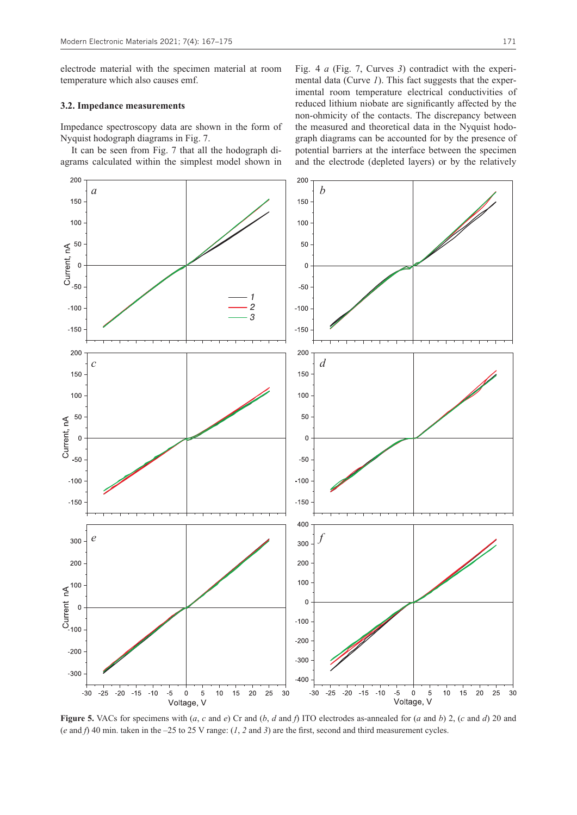electrode material with the specimen material at room temperature which also causes emf.

#### **3.2. Impedance measurements**

Impedance spectroscopy data are shown in the form of Nyquist hodograph diagrams in Fig. 7.

It can be seen from Fig. 7 that all the hodograph diagrams calculated within the simplest model shown in Fig. 4 *a* (Fig. 7, Curves *3*) contradict with the experimental data (Curve *1*). This fact suggests that the experimental room temperature electrical conductivities of reduced lithium niobate are significantly affected by the non-ohmicity of the contacts. The discrepancy between the measured and theoretical data in the Nyquist hodograph diagrams can be accounted for by the presence of potential barriers at the interface between the specimen and the electrode (depleted layers) or by the relatively



**Figure 5.** VACs for specimens with (*a*, *c* and *e*) Cr and (*b*, *d* and *f*) ITO electrodes as-annealed for (*a* and *b*) 2, (*c* and *d*) 20 and (*e* and *f*) 40 min. taken in the –25 to 25 V range: (*1*, *2* and *3*) are the first, second and third measurement cycles.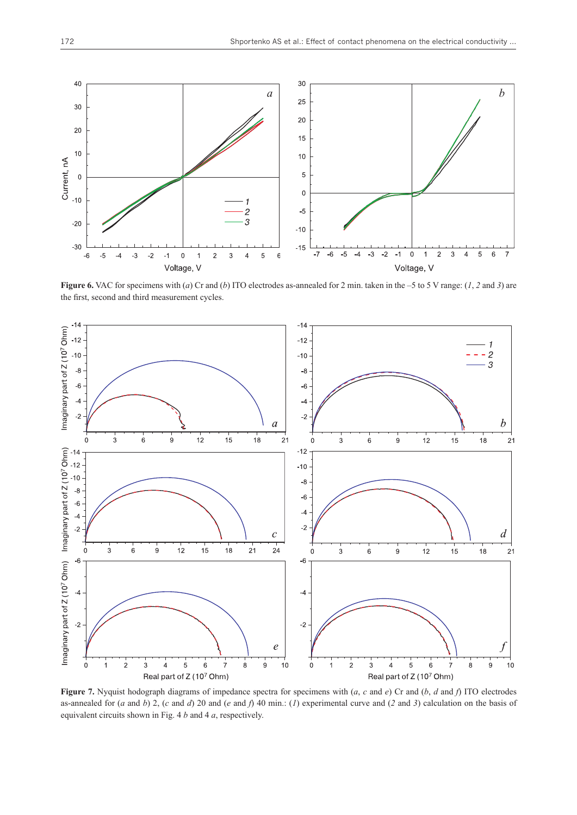

**Figure 6.** VAC for specimens with (*a*) Cr and (*b*) ITO electrodes as-annealed for 2 min. taken in the –5 to 5 V range: (1, 2 and 3) are the first, second and third measurement cycles.



**Figure 7.** Nyquist hodograph diagrams of impedance spectra for specimens with (*a*, *c* and *e*) Cr and (*b*, *d* and *f*) ITO electrodes as-annealed for (*a* and *b*) 2, (*c* and *d*) 20 and (*e* and *f*) 40 min.: (*1*) experimental curve and (*2* and *3*) calculation on the basis of equivalent circuits shown in Fig. 4 *b* and 4 *a*, respectively.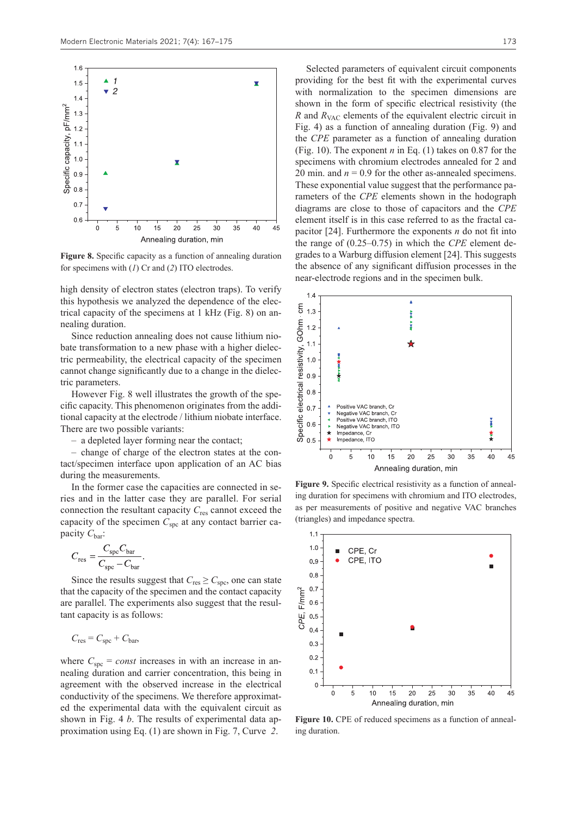

**Figure 8.** Specific capacity as a function of annealing duration for specimens with (*1*) Cr and (*2*) ITO electrodes.

high density of electron states (electron traps). To verify this hypothesis we analyzed the dependence of the electrical capacity of the specimens at 1 kHz (Fig. 8) on annealing duration.

Since reduction annealing does not cause lithium niobate transformation to a new phase with a higher dielectric permeability, the electrical capacity of the specimen cannot change significantly due to a change in the dielectric parameters.

However Fig. 8 well illustrates the growth of the specific capacity. This phenomenon originates from the additional capacity at the electrode / lithium niobate interface. There are two possible variants:

– a depleted layer forming near the contact;

– change of charge of the electron states at the contact/specimen interface upon application of an AC bias during the measurements.

In the former case the capacities are connected in series and in the latter case they are parallel. For serial connection the resultant capacity *C*res cannot exceed the capacity of the specimen  $C_{\text{spc}}$  at any contact barrier capacity  $C_{\text{bar}}$ :

$$
C_{\rm res} = \frac{C_{\rm spe} C_{\rm bar}}{C_{\rm spe} - C_{\rm bar}}.
$$

Since the results suggest that  $C_{\text{res}} \geq C_{\text{spec}}$ , one can state that the capacity of the specimen and the contact capacity are parallel. The experiments also suggest that the resultant capacity is as follows:

$$
C_{\text{res}} = C_{\text{spc}} + C_{\text{bar}}
$$

where  $C_{\text{snc}} = const$  increases in with an increase in annealing duration and carrier concentration, this being in agreement with the observed increase in the electrical conductivity of the specimens. We therefore approximated the experimental data with the equivalent circuit as shown in Fig. 4 *b*. The results of experimental data approximation using Eq. (1) are shown in Fig. 7, Curve *2*.

Selected parameters of equivalent circuit components providing for the best fit with the experimental curves with normalization to the specimen dimensions are shown in the form of specific electrical resistivity (the *R* and  $R_{VAC}$  elements of the equivalent electric circuit in Fig. 4) as a function of annealing duration (Fig. 9) and the *CPE* parameter as a function of annealing duration (Fig. 10). The exponent *n* in Eq. (1) takes on 0.87 for the specimens with chromium electrodes annealed for 2 and 20 min. and  $n = 0.9$  for the other as-annealed specimens. These exponential value suggest that the performance parameters of the *CPE* elements shown in the hodograph diagrams are close to those of capacitors and the *CPE* element itself is in this case referred to as the fractal capacitor [24]. Furthermore the exponents *n* do not fit into the range of (0.25–0.75) in which the *CPE* element degrades to a Warburg diffusion element [24]. This suggests the absence of any significant diffusion processes in the near-electrode regions and in the specimen bulk.



**Figure 9.** Specific electrical resistivity as a function of annealing duration for specimens with chromium and ITO electrodes, as per measurements of positive and negative VAC branches (triangles) and impedance spectra.



**Figure 10.** CPE of reduced specimens as a function of annealing duration.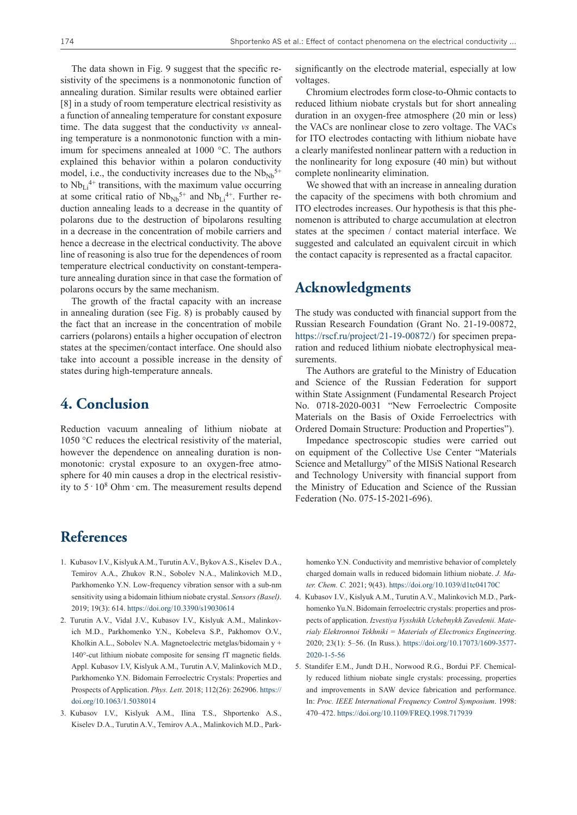The data shown in Fig. 9 suggest that the specific resistivity of the specimens is a nonmonotonic function of annealing duration. Similar results were obtained earlier [8] in a study of room temperature electrical resistivity as a function of annealing temperature for constant exposure time. The data suggest that the conductivity *vs* annealing temperature is a nonmonotonic function with a minimum for specimens annealed at 1000 °C. The authors explained this behavior within a polaron conductivity model, i.e., the conductivity increases due to the  $Nb_{Nb}^{5+}$ to  $Nb_{Li}^{4+}$  transitions, with the maximum value occurring at some critical ratio of  $Nb_{Nb}^{5+}$  and  $Nb_{Li}^{4+}$ . Further reduction annealing leads to a decrease in the quantity of polarons due to the destruction of bipolarons resulting in a decrease in the concentration of mobile carriers and hence a decrease in the electrical conductivity. The above line of reasoning is also true for the dependences of room temperature electrical conductivity on constant-temperature annealing duration since in that case the formation of polarons occurs by the same mechanism.

The growth of the fractal capacity with an increase in annealing duration (see Fig. 8) is probably caused by the fact that an increase in the concentration of mobile carriers (polarons) entails a higher occupation of electron states at the specimen/contact interface. One should also take into account a possible increase in the density of states during high-temperature anneals.

# **4. Conclusion**

Reduction vacuum annealing of lithium niobate at 1050 °C reduces the electrical resistivity of the material, however the dependence on annealing duration is nonmonotonic: crystal exposure to an oxygen-free atmosphere for 40 min causes a drop in the electrical resistivity to 5 · 10<sup>8</sup> Ohm · cm. The measurement results depend

significantly on the electrode material, especially at low voltages.

Chromium electrodes form close-to-Ohmic contacts to reduced lithium niobate crystals but for short annealing duration in an oxygen-free atmosphere (20 min or less) the VACs are nonlinear close to zero voltage. The VACs for ITO electrodes contacting with lithium niobate have a clearly manifested nonlinear pattern with a reduction in the nonlinearity for long exposure (40 min) but without complete nonlinearity elimination.

We showed that with an increase in annealing duration the capacity of the specimens with both chromium and ITO electrodes increases. Our hypothesis is that this phenomenon is attributed to charge accumulation at electron states at the specimen / contact material interface. We suggested and calculated an equivalent circuit in which the contact capacity is represented as a fractal capacitor.

# **Acknowledgments**

The study was conducted with financial support from the Russian Research Foundation (Grant No. 21-19-00872, https://rscf.ru/project/21-19-00872/) for specimen preparation and reduced lithium niobate electrophysical measurements.

The Authors are grateful to the Ministry of Education and Science of the Russian Federation for support within State Assignment (Fundamental Research Project No. 0718-2020-0031 "New Ferroelectric Composite Materials on the Basis of Oxide Ferroelectrics with Ordered Domain Structure: Production and Properties").

Impedance spectroscopic studies were carried out on equipment of the Collective Use Center "Materials Science and Metallurgy" of the MISiS National Research and Technology University with financial support from the Ministry of Education and Science of the Russian Federation (No. 075-15-2021-696).

# **References**

- 1. Kubasov I.V., Kislyuk A.M., Turutin A.V., Bykov A.S., Kiselev D.A., Temirov A.A., Zhukov R.N., Sobolev N.A., Malinkovich M.D., Parkhomenko Y.N. Low-frequency vibration sensor with a sub-nm sensitivity using a bidomain lithium niobate crystal. *Sensors (Basel)*. 2019; 19(3): 614. https://doi.org/10.3390/s19030614
- 2. Turutin A.V., Vidal J.V., Kubasov I.V., Kislyuk A.M., Malinkovich M.D., Parkhomenko Y.N., Kobeleva S.P., Pakhomov O.V., Kholkin A.L., Sobolev N.A. Magnetoelectric metglas/bidomain y + 140°-cut lithium niobate composite for sensing fT magnetic fields. Appl. Kubasov I.V, Kislyuk A.M., Turutin A.V, Malinkovich M.D., Parkhomenko Y.N. Bidomain Ferroelectric Crystals: Properties and Prospects of Application. *Phys. Lett*. 2018; 112(26): 262906. https:// doi.org/10.1063/1.5038014
- 3. Kubasov I.V., Kislyuk A.M., Ilina T.S., Shportenko A.S., Kiselev D.A., Turutin A.V., Temirov A.A., Malinkovich M.D., Park-

homenko Y.N. Conductivity and memristive behavior of completely charged domain walls in reduced bidomain lithium niobate. *J. Mater. Chem. C.* 2021; 9(43). https://doi.org/10.1039/d1tc04170C

- 4. Kubasov I.V., Kislyuk A.M., Turutin A.V., Malinkovich M.D., Parkhomenko Yu.N. Bidomain ferroelectric crystals: properties and prospects of application. *Izvestiya Vysshikh Uchebnykh Zavedenii. Materialy Elektronnoi Tekhniki = Materials of Electronics Engineering*. 2020; 23(1): 5–56. (In Russ.). https://doi.org/10.17073/1609-3577- 2020-1-5-56
- 5. Standifer E.M., Jundt D.H., Norwood R.G., Bordui P.F. Chemically reduced lithium niobate single crystals: processing, properties and improvements in SAW device fabrication and performance. In: *Proc. IEEE International Frequency Control Symposium*. 1998: 470–472. https://doi.org/10.1109/FREQ.1998.717939